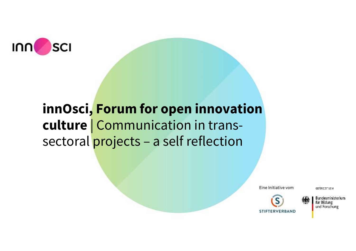

# **innOsci, Forum for open innovation culture** | Communication in trans sectoral projects – a self reflection

Eine Initiative vom

GEFORE THE VEM



Bundesministerium für Bildung und Forschung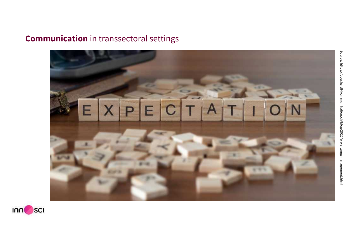# **Communication** in transsectoral settings



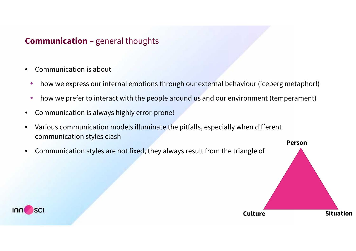## **Communication –** general thoughts

- Communication is about
	- how we express our internal emotions through our external behaviour (iceberg metaphor!)
	- how we prefer to interact with the people around us and our environment (temperament)
- Communication is always highly error-prone!
- Various communication models illuminate the pitfalls, especially when different communication styles clash

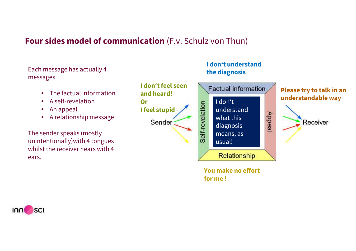## **Four sides model of communication** (F.v. Schulz von Thun)

Each message has actually 4 messages

- The factual information
- A self-revelation
- An appeal
- A relationship message

The sender speaks (mostly unintentionally)with 4 tongues whilst the receiver hears with 4 ears.



**I don't understand**

**the diagnosis**

**You make no effort for me !**

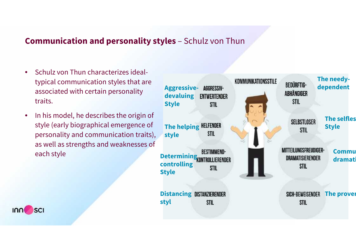## **Communication and personality styles** – Schulz von Thun

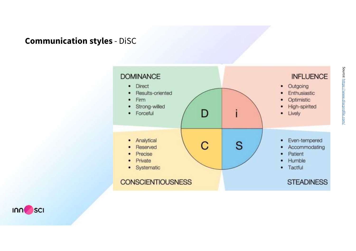# **Communication styles** - DiSC



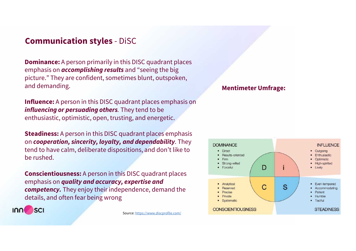## **Communication styles** - DiSC

**Dominance:** A person primarily in this DISC quadrant places emphasis on *accomplishing results* and "seeing the big picture." They are confident, sometimes blunt, outspoken, and demanding.

**Influence:** A person in this DISC quadrant places emphasis on *influencing or persuading others.* They tend to be enthusiastic, optimistic, open, trusting, and energetic.

**Steadiness:** A person in this DISC quadrant places emphasis on *cooperation, sincerity, loyalty, and dependability*. They tend to have calm, deliberate dispositions, and don't like to be rushed.

**Conscientiousness:** A person in this DISC quadrant places emphasis on *quality and accuracy, expertise and competency.* They enjoy their independence, demand the details, and often fear being wrong



Source: https://www.discprofile.com/

#### **Mentimeter Umfrage:**

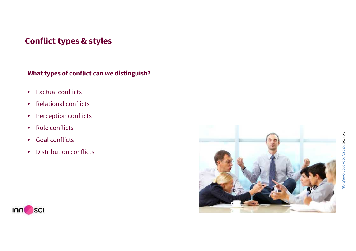## **Conflict types & styles**

### **What types of conflict can we distinguish?**

- Factual conflicts
- Relational conflicts
- Perception conflicts
- Role conflicts
- Goal conflicts
- 



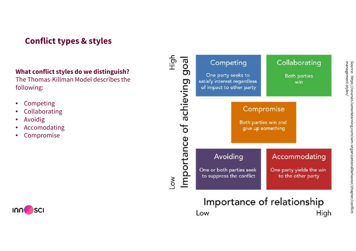# **Conflict types & styles**

### **What conflict styles do we distinguish?**

The Thomas-Killman Model describes the following:

- Competing
- **Collaborating**
- **Avoidig**
- **Accomodating**
- Compromise



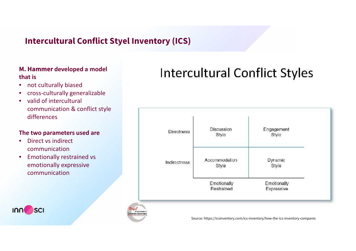# **Intercultural Conflict Styel Inventory (ICS)**

#### **M. Hammer developed a model that is**

- not culturally biased
- cross-culturally generalizable
- valid of intercultural communication & conflict style differences

#### **The two parameters used are**

• Direct vs indirect communication

יחחו

**SCI** 

• Emotionally restrained vs emotionally expressive communication

# **Intercultural Conflict Styles**



Source: https://icsinventory.com/ics-inventory/how-the-ics-inventory-compares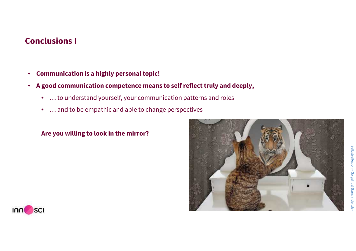### **Conclusions I**

- **Communication is a highly personaltopic!**
- **A good communication competence means to self reflecttruly and deeply,**
	- … to understand yourself, your communication patterns and roles
	- … and to be empathic and able to change perspectives

### **Are you willing to look in the mirror?**



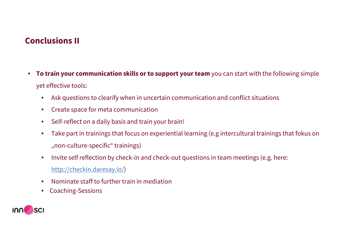## **Conclusions II**

- **To train your communication skills or to support yourteam** you can start with the following simple yet effective tools:
	- Ask questions to clearify when in uncertain communication and conflict situations
	- Create space for meta communication
	- Self-reflect on a daily basis and train your brain!
	- Take part in trainings that focus on experiential learning (e.g intercultural trainings that fokus on "non-culture-specific" trainings)
	- Invite self reflection by check-in and check-out questions in team meetings (e.g. here: http://checkin.daresay.io/)
	- Nominate staff to further train in mediation
	- Coaching-Sessions